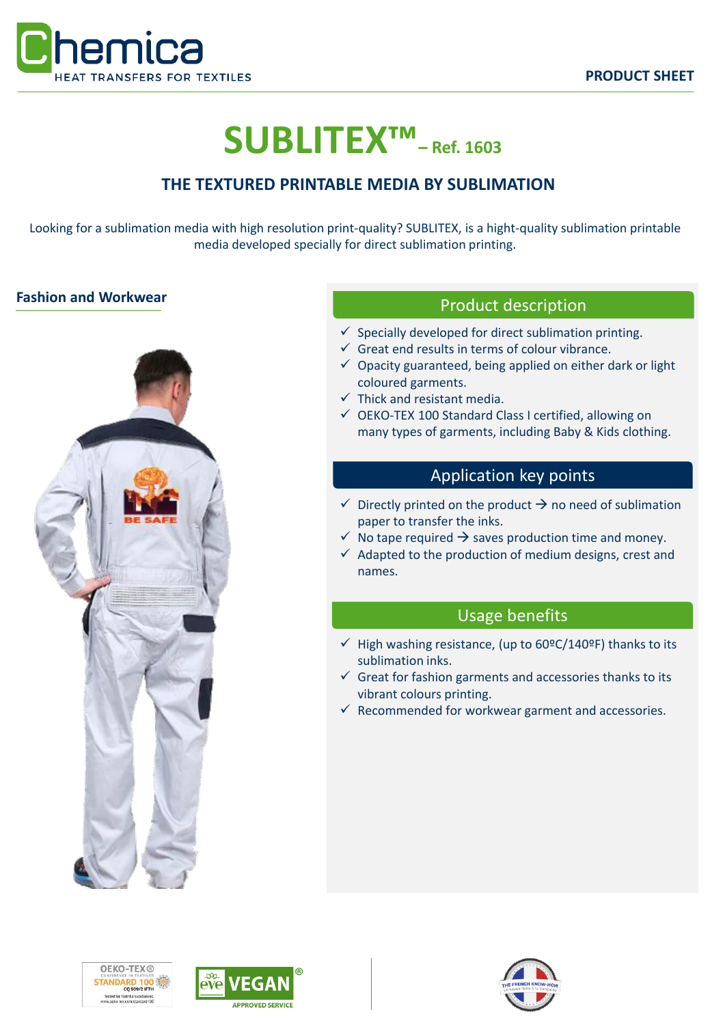

# **SUBLITEX™– Ref. 1603**

# **THE TEXTURED PRINTABLE MEDIA BY SUBLIMATION**

Looking for a sublimation media with high resolution print-quality? SUBLITEX, is a hight-quality sublimation printable media developed specially for direct sublimation printing.

# **Fashion and Workwear**<br> **Example 20 Interval 20 Interval 20 Interval 20 Interval 20 Interval 20 Interval 20 Interval 20 Interval 20 Interval 20 Interval 20 Interval 20 Interval 20 Interval 20 Interval 20 Interval 20 Interv**



- $\checkmark$  Specially developed for direct sublimation printing.
- $\checkmark$  Great end results in terms of colour vibrance.
- $\checkmark$  Opacity guaranteed, being applied on either dark or light coloured garments.
- $\checkmark$  Thick and resistant media.
- ✓ OEKO-TEX 100 Standard Class I certified, allowing on many types of garments, including Baby & Kids clothing.

# Application key points

- $\checkmark$  Directly printed on the product  $\hat{\to}$  no need of sublimation paper to transfer the inks.
- $\checkmark$  No tape required  $\hat{\to}$  saves production time and money.
- $\checkmark$  Adapted to the production of medium designs, crest and names.

## Usage benefits

- $\checkmark$  High washing resistance, (up to 60ºC/140ºF) thanks to its sublimation inks.
- $\checkmark$  Great for fashion garments and accessories thanks to its vibrant colours printing.
- $\checkmark$  Recommended for workwear garment and accessories.